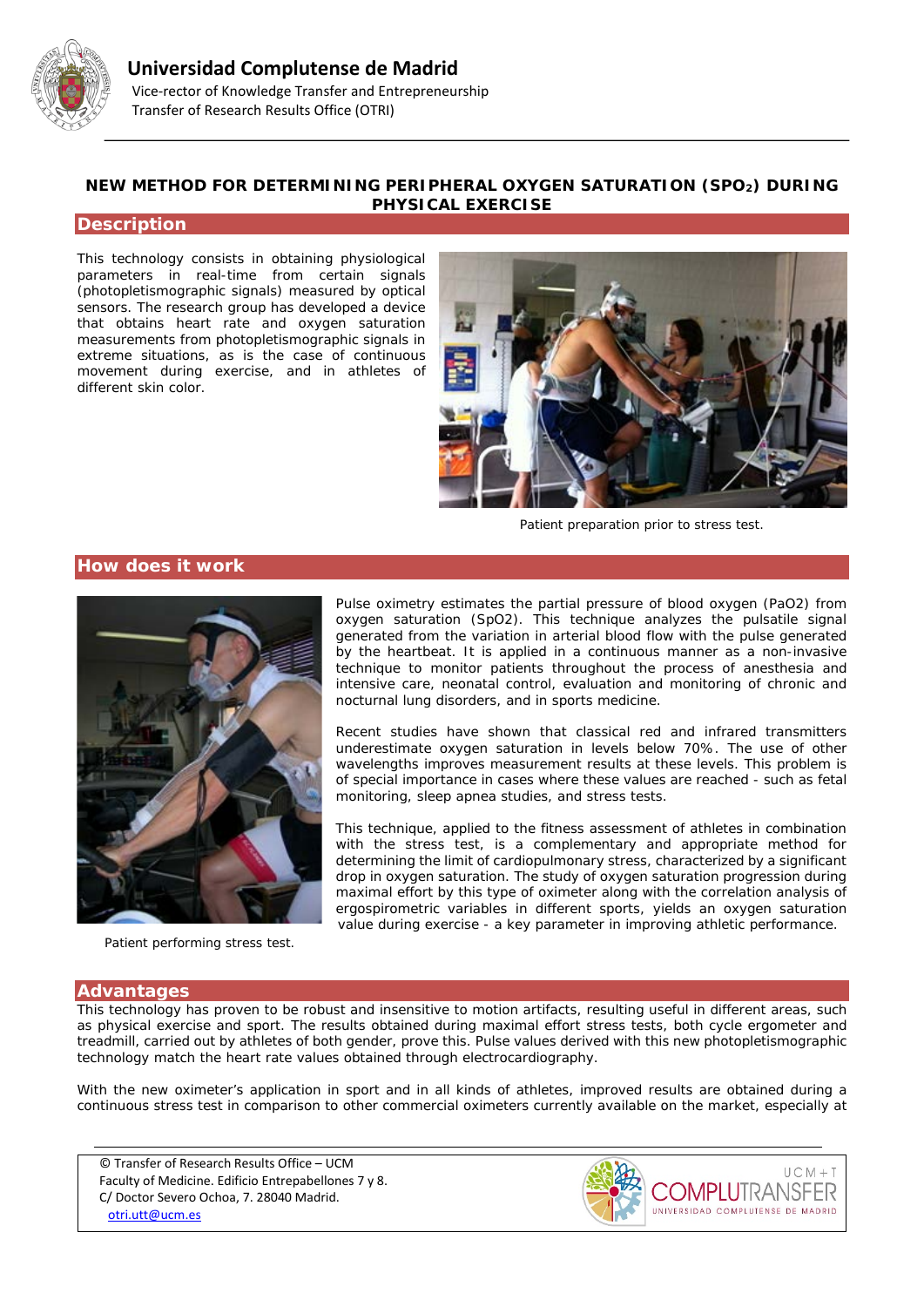

# **NEW METHOD FOR DETERMINING PERIPHERAL OXYGEN SATURATION (SPO2) DURING PHYSICAL EXERCISE**

### **Description**

This technology consists in obtaining physiological parameters in real-time from certain signals (photopletismographic signals) measured by optical sensors. The research group has developed a device that obtains heart rate and oxygen saturation measurements from photopletismographic signals in extreme situations, as is the case of continuous movement during exercise, and in athletes of different skin color.



*Patient preparation prior to stress test.*

### **How does it work**



*Patient performing stress test.*

Pulse oximetry estimates the partial pressure of blood oxygen (PaO2) from oxygen saturation (SpO2). This technique analyzes the pulsatile signal generated from the variation in arterial blood flow with the pulse generated by the heartbeat. It is applied in a continuous manner as a non-invasive technique to monitor patients throughout the process of anesthesia and intensive care, neonatal control, evaluation and monitoring of chronic and nocturnal lung disorders, and in sports medicine.

Recent studies have shown that classical red and infrared transmitters underestimate oxygen saturation in levels below 70%. The use of other wavelengths improves measurement results at these levels. This problem is of special importance in cases where these values are reached - such as fetal monitoring, sleep apnea studies, and stress tests.

This technique, applied to the fitness assessment of athletes in combination with the stress test, is a complementary and appropriate method for determining the limit of cardiopulmonary stress, characterized by a significant drop in oxygen saturation. The study of oxygen saturation progression during maximal effort by this type of oximeter along with the correlation analysis of ergospirometric variables in different sports, yields an oxygen saturation value during exercise - a key parameter in improving athletic performance.

#### **Advantages**

This technology has proven to be robust and insensitive to motion artifacts, resulting useful in different areas, such as physical exercise and sport. The results obtained during maximal effort stress tests, both cycle ergometer and treadmill, carried out by athletes of both gender, prove this. Pulse values derived with this new photopletismographic technology match the heart rate values obtained through electrocardiography.

With the new oximeter's application in sport and in all kinds of athletes, improved results are obtained during a continuous stress test in comparison to other commercial oximeters currently available on the market, especially at

© Transfer of Research Results Office – UCM Faculty of Medicine. Edificio Entrepabellones 7 y 8. C/ Doctor Severo Ochoa, 7. 28040 Madrid. [otri.utt@ucm.es](mailto:otri.utt@ucm.es)